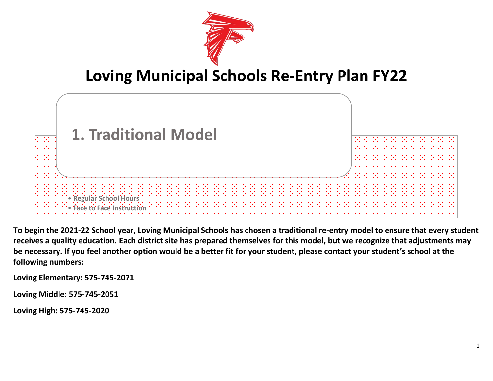

# **Loving Municipal Schools Re-Entry Plan FY22**



**To begin the 2021-22 School year, Loving Municipal Schools has chosen a traditional re-entry model to ensure that every student receives a quality education. Each district site has prepared themselves for this model, but we recognize that adjustments may be necessary. If you feel another option would be a better fit for your student, please contact your student's school at the following numbers:**

**Loving Elementary: 575-745-2071**

**Loving Middle: 575-745-2051**

**Loving High: 575-745-2020**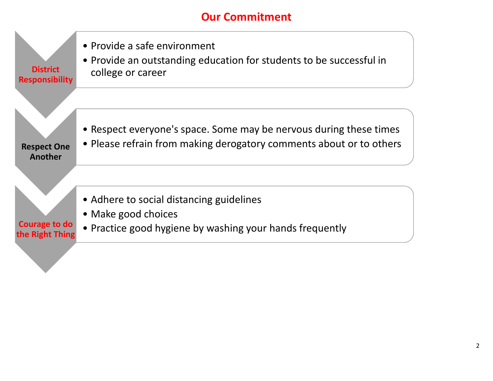# **Our Commitment**

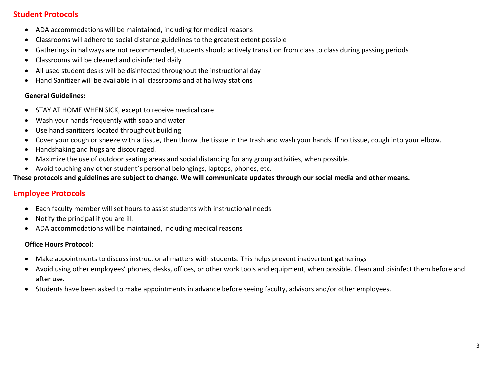### **Student Protocols**

- ADA accommodations will be maintained, including for medical reasons
- Classrooms will adhere to social distance guidelines to the greatest extent possible
- Gatherings in hallways are not recommended, students should actively transition from class to class during passing periods
- Classrooms will be cleaned and disinfected daily
- All used student desks will be disinfected throughout the instructional day
- Hand Sanitizer will be available in all classrooms and at hallway stations

#### **General Guidelines:**

- STAY AT HOME WHEN SICK, except to receive medical care
- Wash your hands frequently with soap and water
- Use hand sanitizers located throughout building
- Cover your cough or sneeze with a tissue, then throw the tissue in the trash and wash your hands. If no tissue, cough into your elbow.
- Handshaking and hugs are discouraged.
- Maximize the use of outdoor seating areas and social distancing for any group activities, when possible.
- Avoid touching any other student's personal belongings, laptops, phones, etc.

#### **These protocols and guidelines are subject to change. We will communicate updates through our social media and other means.**

## **Employee Protocols**

- Each faculty member will set hours to assist students with instructional needs
- Notify the principal if you are ill.
- ADA accommodations will be maintained, including medical reasons

#### **Office Hours Protocol:**

- Make appointments to discuss instructional matters with students. This helps prevent inadvertent gatherings
- Avoid using other employees' phones, desks, offices, or other work tools and equipment, when possible. Clean and disinfect them before and after use.
- Students have been asked to make appointments in advance before seeing faculty, advisors and/or other employees.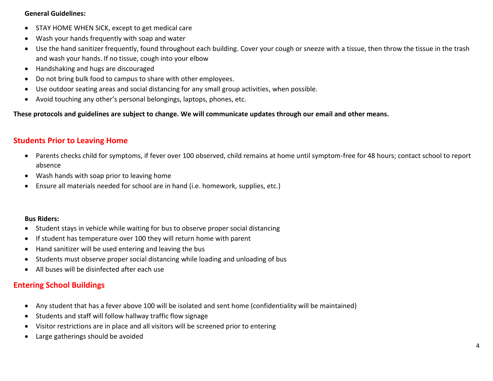#### **General Guidelines:**

- STAY HOME WHEN SICK, except to get medical care
- Wash your hands frequently with soap and water
- Use the hand sanitizer frequently, found throughout each building. Cover your cough or sneeze with a tissue, then throw the tissue in the trash and wash your hands. If no tissue, cough into your elbow
- Handshaking and hugs are discouraged
- Do not bring bulk food to campus to share with other employees.
- Use outdoor seating areas and social distancing for any small group activities, when possible.
- Avoid touching any other's personal belongings, laptops, phones, etc.

**These protocols and guidelines are subject to change. We will communicate updates through our email and other means.**

### **Students Prior to Leaving Home**

- Parents checks child for symptoms, if fever over 100 observed, child remains at home until symptom-free for 48 hours; contact school to report absence
- Wash hands with soap prior to leaving home
- Ensure all materials needed for school are in hand (i.e. homework, supplies, etc.)

#### **Bus Riders:**

- Student stays in vehicle while waiting for bus to observe proper social distancing
- If student has temperature over 100 they will return home with parent
- Hand sanitizer will be used entering and leaving the bus
- Students must observe proper social distancing while loading and unloading of bus
- All buses will be disinfected after each use

## **Entering School Buildings**

- Any student that has a fever above 100 will be isolated and sent home (confidentiality will be maintained)
- Students and staff will follow hallway traffic flow signage
- Visitor restrictions are in place and all visitors will be screened prior to entering
- Large gatherings should be avoided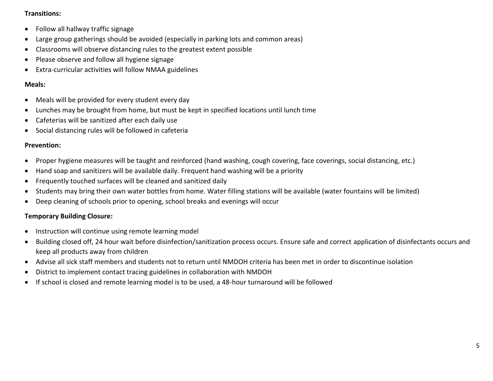#### **Transitions:**

- Follow all hallway traffic signage
- Large group gatherings should be avoided (especially in parking lots and common areas)
- Classrooms will observe distancing rules to the greatest extent possible
- Please observe and follow all hygiene signage
- Extra-curricular activities will follow NMAA guidelines

#### **Meals:**

- Meals will be provided for every student every day
- Lunches may be brought from home, but must be kept in specified locations until lunch time
- Cafeterias will be sanitized after each daily use
- Social distancing rules will be followed in cafeteria

#### **Prevention:**

- Proper hygiene measures will be taught and reinforced (hand washing, cough covering, face coverings, social distancing, etc.)
- Hand soap and sanitizers will be available daily. Frequent hand washing will be a priority
- Frequently touched surfaces will be cleaned and sanitized daily
- Students may bring their own water bottles from home. Water filling stations will be available (water fountains will be limited)
- Deep cleaning of schools prior to opening, school breaks and evenings will occur

#### **Temporary Building Closure:**

- Instruction will continue using remote learning model
- Building closed off, 24 hour wait before disinfection/sanitization process occurs. Ensure safe and correct application of disinfectants occurs and keep all products away from children
- Advise all sick staff members and students not to return until NMDOH criteria has been met in order to discontinue isolation
- District to implement contact tracing guidelines in collaboration with NMDOH
- If school is closed and remote learning model is to be used, a 48-hour turnaround will be followed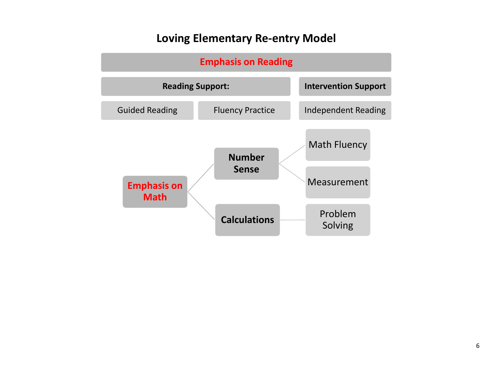# **Loving Elementary Re-entry Model**

| <b>Emphasis on Reading</b>                                         |                         |                                    |  |
|--------------------------------------------------------------------|-------------------------|------------------------------------|--|
| <b>Reading Support:</b>                                            |                         | <b>Intervention Support</b>        |  |
| <b>Guided Reading</b>                                              | <b>Fluency Practice</b> | <b>Independent Reading</b>         |  |
| <b>Number</b><br><b>Sense</b><br><b>Emphasis on</b><br><b>Math</b> |                         | <b>Math Fluency</b><br>Measurement |  |
|                                                                    | <b>Calculations</b>     | Problem<br>Solving                 |  |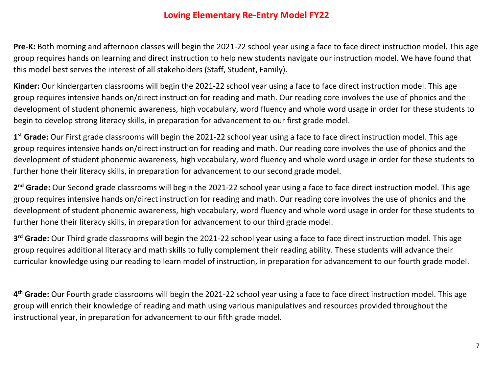# **Loving Elementary Re-Entry Model FY22**

**Pre-K:** Both morning and afternoon classes will begin the 2021-22 school year using a face to face direct instruction model. This age group requires hands on learning and direct instruction to help new students navigate our instruction model. We have found that this model best serves the interest of all stakeholders (Staff, Student, Family).

**Kinder:** Our kindergarten classrooms will begin the 2021-22 school year using a face to face direct instruction model. This age group requires intensive hands on/direct instruction for reading and math. Our reading core involves the use of phonics and the development of student phonemic awareness, high vocabulary, word fluency and whole word usage in order for these students to begin to develop strong literacy skills, in preparation for advancement to our first grade model.

**1 st Grade:** Our First grade classrooms will begin the 2021-22 school year using a face to face direct instruction model. This age group requires intensive hands on/direct instruction for reading and math. Our reading core involves the use of phonics and the development of student phonemic awareness, high vocabulary, word fluency and whole word usage in order for these students to further hone their literacy skills, in preparation for advancement to our second grade model.

2<sup>nd</sup> Grade: Our Second grade classrooms will begin the 2021-22 school year using a face to face direct instruction model. This age group requires intensive hands on/direct instruction for reading and math. Our reading core involves the use of phonics and the development of student phonemic awareness, high vocabulary, word fluency and whole word usage in order for these students to further hone their literacy skills, in preparation for advancement to our third grade model.

**3 rd Grade:** Our Third grade classrooms will begin the 2021-22 school year using a face to face direct instruction model. This age group requires additional literacy and math skills to fully complement their reading ability. These students will advance their curricular knowledge using our reading to learn model of instruction, in preparation for advancement to our fourth grade model.

**4 th Grade:** Our Fourth grade classrooms will begin the 2021-22 school year using a face to face direct instruction model. This age group will enrich their knowledge of reading and math using various manipulatives and resources provided throughout the instructional year, in preparation for advancement to our fifth grade model.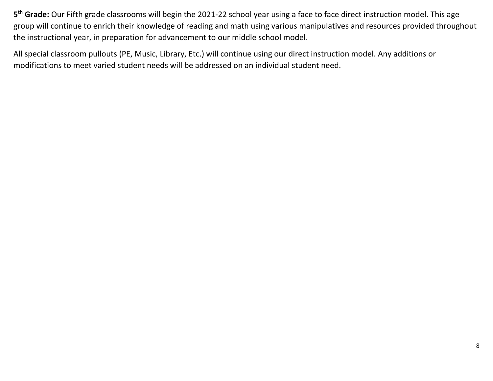**5 th Grade:** Our Fifth grade classrooms will begin the 2021-22 school year using a face to face direct instruction model. This age group will continue to enrich their knowledge of reading and math using various manipulatives and resources provided throughout the instructional year, in preparation for advancement to our middle school model.

All special classroom pullouts (PE, Music, Library, Etc.) will continue using our direct instruction model. Any additions or modifications to meet varied student needs will be addressed on an individual student need.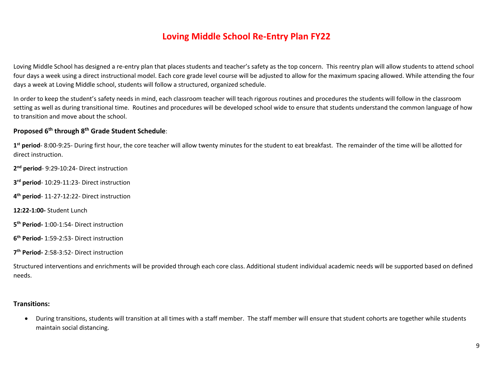# **Loving Middle School Re-Entry Plan FY22**

Loving Middle School has designed a re-entry plan that places students and teacher's safety as the top concern. This reentry plan will allow students to attend school four days a week using a direct instructional model. Each core grade level course will be adjusted to allow for the maximum spacing allowed. While attending the four days a week at Loving Middle school, students will follow a structured, organized schedule.

In order to keep the student's safety needs in mind, each classroom teacher will teach rigorous routines and procedures the students will follow in the classroom setting as well as during transitional time. Routines and procedures will be developed school wide to ensure that students understand the common language of how to transition and move about the school.

#### **Proposed 6 th through 8th Grade Student Schedule**:

1<sup>st</sup> period-8:00-9:25- During first hour, the core teacher will allow twenty minutes for the student to eat breakfast. The remainder of the time will be allotted for direct instruction.

**2 nd period**- 9:29-10:24- Direct instruction

**3 rd period**- 10:29-11:23- Direct instruction

**4 th period**- 11-27-12:22- Direct instruction

**12:22-1:00-** Student Lunch

**5 th Period-** 1:00-1:54- Direct instruction

**6 th Period-** 1:59-2:53- Direct instruction

**7 th Period-** 2:58-3:52- Direct instruction

Structured interventions and enrichments will be provided through each core class. Additional student individual academic needs will be supported based on defined needs.

#### **Transitions:**

 During transitions, students will transition at all times with a staff member. The staff member will ensure that student cohorts are together while students maintain social distancing.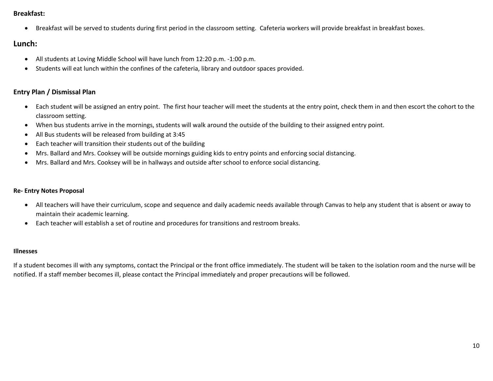#### **Breakfast:**

Breakfast will be served to students during first period in the classroom setting. Cafeteria workers will provide breakfast in breakfast boxes.

#### **Lunch:**

- All students at Loving Middle School will have lunch from 12:20 p.m. -1:00 p.m.
- Students will eat lunch within the confines of the cafeteria, library and outdoor spaces provided.

#### **Entry Plan / Dismissal Plan**

- Each student will be assigned an entry point. The first hour teacher will meet the students at the entry point, check them in and then escort the cohort to the classroom setting.
- When bus students arrive in the mornings, students will walk around the outside of the building to their assigned entry point.
- All Bus students will be released from building at 3:45
- Each teacher will transition their students out of the building
- Mrs. Ballard and Mrs. Cooksey will be outside mornings guiding kids to entry points and enforcing social distancing.
- Mrs. Ballard and Mrs. Cooksey will be in hallways and outside after school to enforce social distancing.

#### **Re- Entry Notes Proposal**

- All teachers will have their curriculum, scope and sequence and daily academic needs available through Canvas to help any student that is absent or away to maintain their academic learning.
- Each teacher will establish a set of routine and procedures for transitions and restroom breaks.

#### **Illnesses**

If a student becomes ill with any symptoms, contact the Principal or the front office immediately. The student will be taken to the isolation room and the nurse will be notified. If a staff member becomes ill, please contact the Principal immediately and proper precautions will be followed.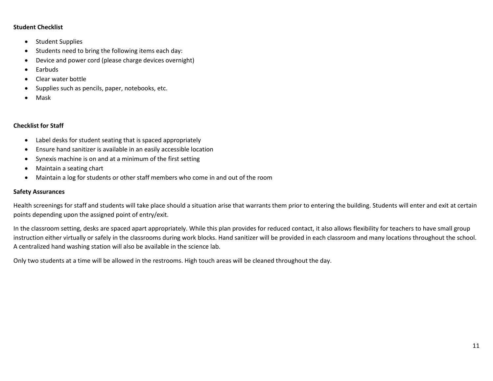#### **Student Checklist**

- Student Supplies
- Students need to bring the following items each day:
- Device and power cord (please charge devices overnight)
- Earbuds
- Clear water bottle
- Supplies such as pencils, paper, notebooks, etc.
- Mask

#### **Checklist for Staff**

- Label desks for student seating that is spaced appropriately
- Ensure hand sanitizer is available in an easily accessible location
- Synexis machine is on and at a minimum of the first setting
- Maintain a seating chart
- Maintain a log for students or other staff members who come in and out of the room

#### **Safety Assurances**

Health screenings for staff and students will take place should a situation arise that warrants them prior to entering the building. Students will enter and exit at certain points depending upon the assigned point of entry/exit.

In the classroom setting, desks are spaced apart appropriately. While this plan provides for reduced contact, it also allows flexibility for teachers to have small group instruction either virtually or safely in the classrooms during work blocks. Hand sanitizer will be provided in each classroom and many locations throughout the school. A centralized hand washing station will also be available in the science lab.

Only two students at a time will be allowed in the restrooms. High touch areas will be cleaned throughout the day.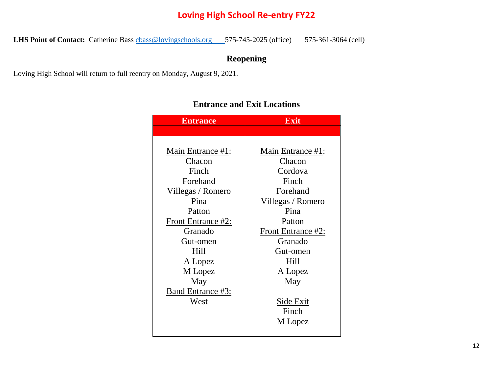# **Loving High School Re-entry FY22**

LHS Point of Contact: Catherine Bass chass@lovingschools.org 575-745-2025 (office) 575-361-3064 (cell)

# **Reopening**

Loving High School will return to full reentry on Monday, August 9, 2021.

| <b>Entrance</b>    | <b>Exit</b>        |
|--------------------|--------------------|
|                    |                    |
|                    |                    |
| Main Entrance #1:  | Main Entrance #1:  |
| Chacon             | Chacon             |
| Finch              | Cordova            |
| Forehand           | Finch              |
| Villegas / Romero  | Forehand           |
| Pina               | Villegas / Romero  |
| Patton             | Pina               |
| Front Entrance #2: | Patton             |
| Granado            | Front Entrance #2: |
| Gut-omen           | Granado            |
| Hill               | Gut-omen           |
| A Lopez            | Hill               |
| M Lopez            | A Lopez            |
| May                | May                |
| Band Entrance #3:  |                    |
| West               | Side Exit          |
|                    | Finch              |
|                    | M Lopez            |
|                    |                    |

# **Entrance and Exit Locations**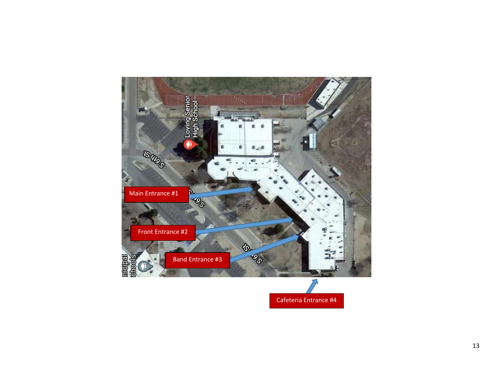

Cafeteria Entrance #4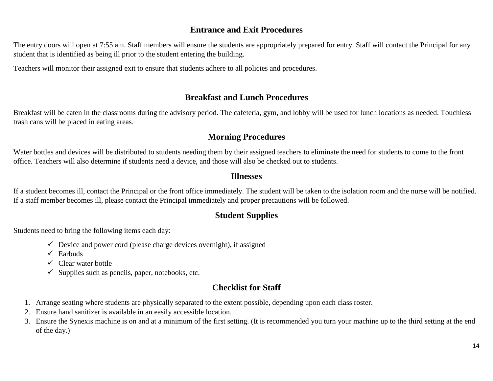# **Entrance and Exit Procedures**

The entry doors will open at 7:55 am. Staff members will ensure the students are appropriately prepared for entry. Staff will contact the Principal for any student that is identified as being ill prior to the student entering the building.

Teachers will monitor their assigned exit to ensure that students adhere to all policies and procedures.

## **Breakfast and Lunch Procedures**

Breakfast will be eaten in the classrooms during the advisory period. The cafeteria, gym, and lobby will be used for lunch locations as needed. Touchless trash cans will be placed in eating areas.

# **Morning Procedures**

Water bottles and devices will be distributed to students needing them by their assigned teachers to eliminate the need for students to come to the front office. Teachers will also determine if students need a device, and those will also be checked out to students.

### **Illnesses**

If a student becomes ill, contact the Principal or the front office immediately. The student will be taken to the isolation room and the nurse will be notified. If a staff member becomes ill, please contact the Principal immediately and proper precautions will be followed.

# **Student Supplies**

Students need to bring the following items each day:

- $\checkmark$  Device and power cord (please charge devices overnight), if assigned
- $\checkmark$  Earbuds
- $\checkmark$  Clear water bottle
- $\checkmark$  Supplies such as pencils, paper, notebooks, etc.

# **Checklist for Staff**

- 1. Arrange seating where students are physically separated to the extent possible, depending upon each class roster.
- 2. Ensure hand sanitizer is available in an easily accessible location.
- 3. Ensure the Synexis machine is on and at a minimum of the first setting. (It is recommended you turn your machine up to the third setting at the end of the day.)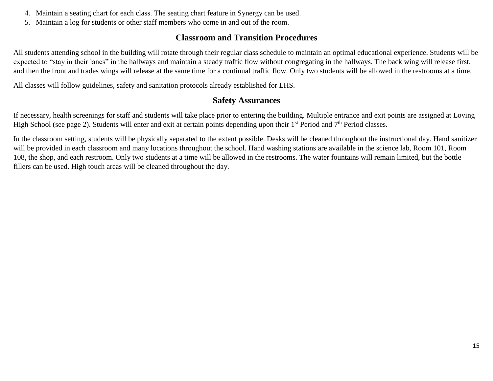- 4. Maintain a seating chart for each class. The seating chart feature in Synergy can be used.
- 5. Maintain a log for students or other staff members who come in and out of the room.

# **Classroom and Transition Procedures**

All students attending school in the building will rotate through their regular class schedule to maintain an optimal educational experience. Students will be expected to "stay in their lanes" in the hallways and maintain a steady traffic flow without congregating in the hallways. The back wing will release first, and then the front and trades wings will release at the same time for a continual traffic flow. Only two students will be allowed in the restrooms at a time.

All classes will follow guidelines, safety and sanitation protocols already established for LHS.

# **Safety Assurances**

If necessary, health screenings for staff and students will take place prior to entering the building. Multiple entrance and exit points are assigned at Loving High School (see page 2). Students will enter and exit at certain points depending upon their  $1<sup>st</sup>$  Period and  $7<sup>th</sup>$  Period classes.

In the classroom setting, students will be physically separated to the extent possible. Desks will be cleaned throughout the instructional day. Hand sanitizer will be provided in each classroom and many locations throughout the school. Hand washing stations are available in the science lab, Room 101, Room 108, the shop, and each restroom. Only two students at a time will be allowed in the restrooms. The water fountains will remain limited, but the bottle fillers can be used. High touch areas will be cleaned throughout the day.